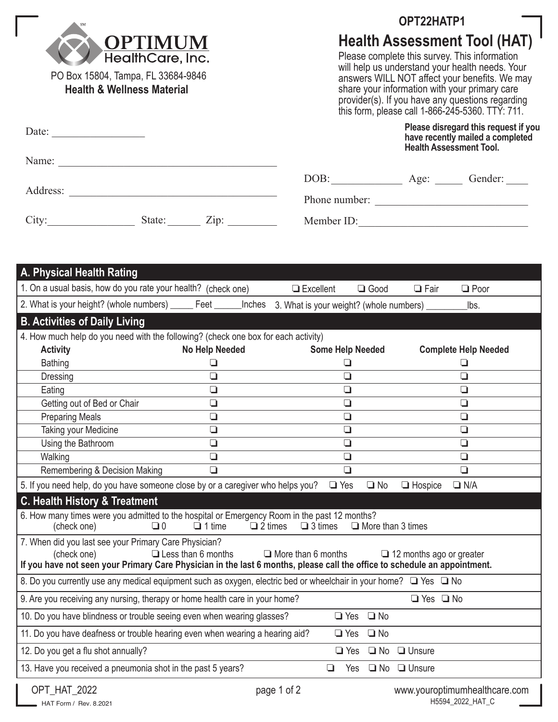

PO Box 15804, Tampa, FL 33684-9846 **Health & Wellness Material** 

## **OPT22HATP1**

## **Health Assessment Tool (HAT)**

Please complete this survey. This information will help us understand your health needs. Your answers WILL NOT affect your benefits. We may share your information with your primary care provider(s). If you have any questions regarding this form, please call 1-866-245-5360. TTY: 711.

| Date:<br>the control of the control of the control of the |        |            | Please disregard this request if you<br>have recently mailed a completed<br><b>Health Assessment Tool.</b> |      |         |  |
|-----------------------------------------------------------|--------|------------|------------------------------------------------------------------------------------------------------------|------|---------|--|
| Name:                                                     |        |            |                                                                                                            |      |         |  |
|                                                           |        |            | DOB:                                                                                                       | Age: | Gender: |  |
| Address:                                                  |        |            | Phone number:                                                                                              |      |         |  |
| City:                                                     | State: | $\chi$ ip: | Member ID:                                                                                                 |      |         |  |

| A. Physical Health Rating                                                                                                                                                                                                                                                                      |                |                                                 |                      |                         |                               |  |  |  |
|------------------------------------------------------------------------------------------------------------------------------------------------------------------------------------------------------------------------------------------------------------------------------------------------|----------------|-------------------------------------------------|----------------------|-------------------------|-------------------------------|--|--|--|
| 1. On a usual basis, how do you rate your health? (check one)                                                                                                                                                                                                                                  |                | $\Box$ Excellent                                | $\Box$ Good          | $\Box$ Fair             | $\Box$ Poor                   |  |  |  |
| 2. What is your height? (whole numbers) ______ Feet ____                                                                                                                                                                                                                                       |                | _Inches 3. What is your weight? (whole numbers) |                      |                         | lbs.                          |  |  |  |
| <b>B. Activities of Daily Living</b>                                                                                                                                                                                                                                                           |                |                                                 |                      |                         |                               |  |  |  |
| 4. How much help do you need with the following? (check one box for each activity)                                                                                                                                                                                                             |                |                                                 |                      |                         |                               |  |  |  |
| <b>Activity</b>                                                                                                                                                                                                                                                                                | No Help Needed | <b>Some Help Needed</b>                         |                      |                         | <b>Complete Help Needed</b>   |  |  |  |
| <b>Bathing</b>                                                                                                                                                                                                                                                                                 | ❏              | $\Box$                                          |                      |                         | ❏                             |  |  |  |
| Dressing                                                                                                                                                                                                                                                                                       | $\Box$         | $\Box$                                          |                      |                         | $\Box$                        |  |  |  |
| Eating                                                                                                                                                                                                                                                                                         | $\Box$         | $\Box$                                          |                      |                         | $\Box$                        |  |  |  |
| Getting out of Bed or Chair                                                                                                                                                                                                                                                                    | $\Box$         | $\Box$                                          |                      |                         | $\Box$                        |  |  |  |
| <b>Preparing Meals</b>                                                                                                                                                                                                                                                                         | $\Box$         | $\Box$                                          |                      |                         | $\Box$                        |  |  |  |
| Taking your Medicine                                                                                                                                                                                                                                                                           | $\Box$         | $\Box$                                          |                      |                         | $\Box$                        |  |  |  |
| Using the Bathroom                                                                                                                                                                                                                                                                             | $\Box$         | $\Box$                                          |                      |                         | $\Box$                        |  |  |  |
| Walking                                                                                                                                                                                                                                                                                        | $\Box$         | $\Box$                                          |                      |                         | $\Box$                        |  |  |  |
| Remembering & Decision Making                                                                                                                                                                                                                                                                  | $\Box$         | $\Box$                                          |                      |                         | $\Box$                        |  |  |  |
| 5. If you need help, do you have someone close by or a caregiver who helps you?<br>$\Box$ Yes<br>$\Box$ N/A<br>$\Box$ No<br>$\Box$ Hospice                                                                                                                                                     |                |                                                 |                      |                         |                               |  |  |  |
| C. Health History & Treatment                                                                                                                                                                                                                                                                  |                |                                                 |                      |                         |                               |  |  |  |
| 6. How many times were you admitted to the hospital or Emergency Room in the past 12 months?<br>$\Box$ 3 times<br>$\Box$ More than 3 times<br>(check one)<br>$\Box$ 0<br>$\Box$ 1 time<br>$\Box$ 2 times                                                                                       |                |                                                 |                      |                         |                               |  |  |  |
| 7. When did you last see your Primary Care Physician?<br>$\Box$ More than 6 months<br>$\Box$ Less than 6 months<br>(check one)<br>$\Box$ 12 months ago or greater<br>If you have not seen your Primary Care Physician in the last 6 months, please call the office to schedule an appointment. |                |                                                 |                      |                         |                               |  |  |  |
| 8. Do you currently use any medical equipment such as oxygen, electric bed or wheelchair in your home? □ Yes □ No                                                                                                                                                                              |                |                                                 |                      |                         |                               |  |  |  |
| 9. Are you receiving any nursing, therapy or home health care in your home?                                                                                                                                                                                                                    |                |                                                 |                      | $\Box$ Yes $\Box$ No    |                               |  |  |  |
| 10. Do you have blindness or trouble seeing even when wearing glasses?                                                                                                                                                                                                                         |                |                                                 | $\Box$ Yes $\Box$ No |                         |                               |  |  |  |
| 11. Do you have deafness or trouble hearing even when wearing a hearing aid?                                                                                                                                                                                                                   |                | $\Box$ Yes                                      | $\square$ No         |                         |                               |  |  |  |
| 12. Do you get a flu shot annually?                                                                                                                                                                                                                                                            |                | $\Box$ Yes                                      |                      | $\Box$ No $\Box$ Unsure |                               |  |  |  |
| 13. Have you received a pneumonia shot in the past 5 years?                                                                                                                                                                                                                                    |                | $\Box$<br>Yes                                   |                      | $\Box$ No $\Box$ Unsure |                               |  |  |  |
| OPT HAT 2022                                                                                                                                                                                                                                                                                   |                | page 1 of 2                                     |                      |                         | www.youroptimumhealthcare.com |  |  |  |